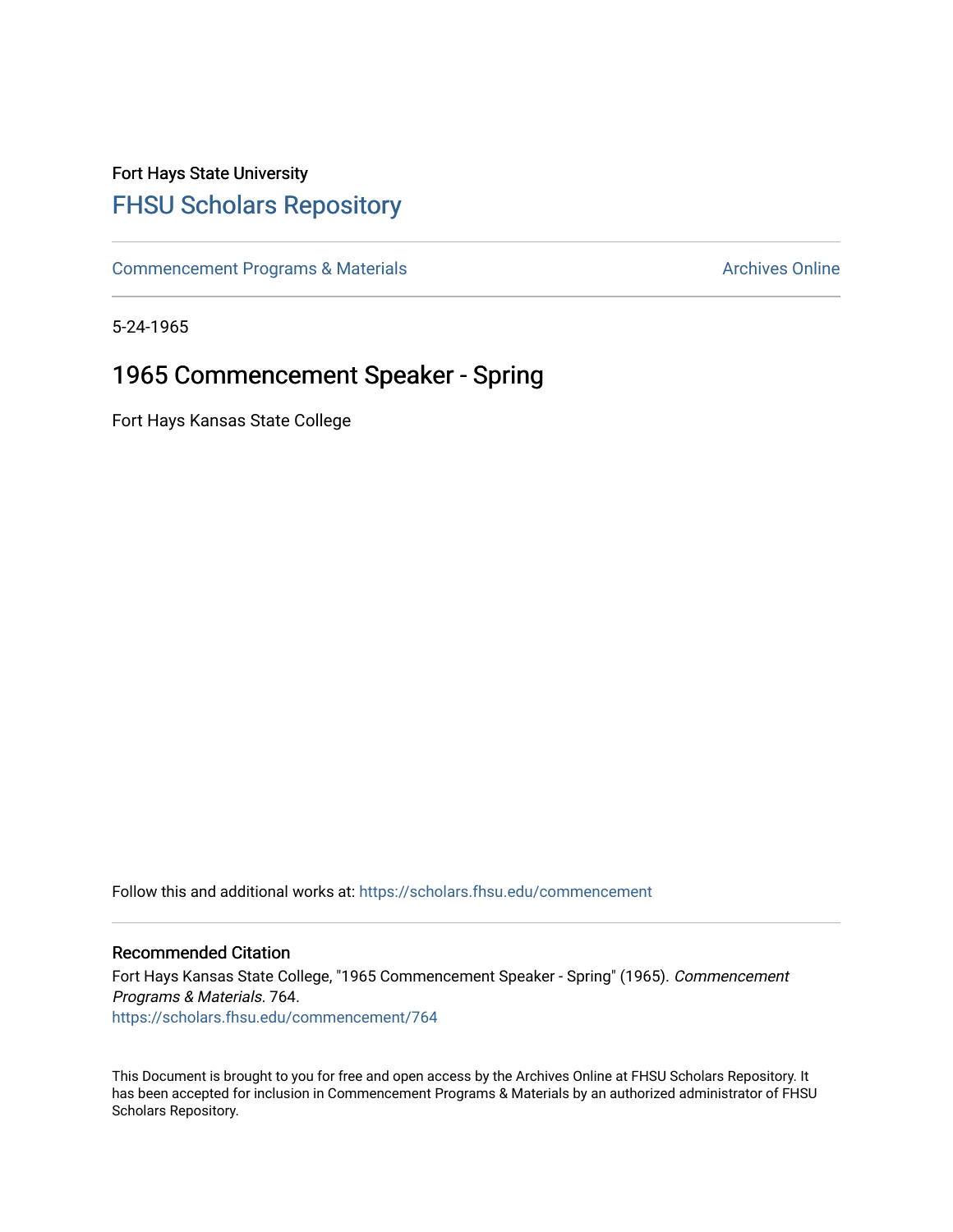## Fort Hays State University [FHSU Scholars Repository](https://scholars.fhsu.edu/)

[Commencement Programs & Materials](https://scholars.fhsu.edu/commencement) **Archives Online** Archives Online

5-24-1965

## 1965 Commencement Speaker - Spring

Fort Hays Kansas State College

Follow this and additional works at: [https://scholars.fhsu.edu/commencement](https://scholars.fhsu.edu/commencement?utm_source=scholars.fhsu.edu%2Fcommencement%2F764&utm_medium=PDF&utm_campaign=PDFCoverPages)

## Recommended Citation

Fort Hays Kansas State College, "1965 Commencement Speaker - Spring" (1965). Commencement Programs & Materials. 764. [https://scholars.fhsu.edu/commencement/764](https://scholars.fhsu.edu/commencement/764?utm_source=scholars.fhsu.edu%2Fcommencement%2F764&utm_medium=PDF&utm_campaign=PDFCoverPages)

This Document is brought to you for free and open access by the Archives Online at FHSU Scholars Repository. It has been accepted for inclusion in Commencement Programs & Materials by an authorized administrator of FHSU Scholars Repository.